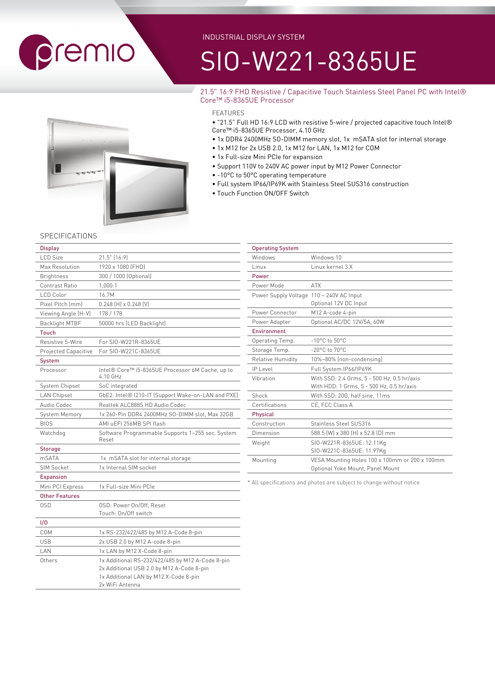

#### INDUSTRIAL DISPLAY SYSTEM

# SIO-W221-8365UE

#### 21.5" 16:9 FHD Resistive / Capacitive Touch Stainless Steel Panel PC with Intel® Core™ i5-8365UE Processor

- "21.5" Full HD 16:9 LCD with resistive 5-wire / projected capacitive touch Intel® Core™ i5-8365UE Processor, 4.10 GHz
- 1x DDR4 2400MHz SO-DIMM memory slot, 1x mSATA slot for internal storage
- 1x M12 for 2x USB 2.0, 1x M12 for LAN, 1x M12 for COM
- 1x Full-size Mini PCIe for expansion
- Support 110V to 240V AC power input by M12 Power Connector
- -10°C to 50°C operating temperature
- Full system IP66/IP69K with Stainless Steel SUS316 construction
- Touch Function ON/OFF Switch

#### **SPECIFICATIONS**

| <b>Display</b>              |                                                              |
|-----------------------------|--------------------------------------------------------------|
| <b>LCD Size</b>             | 21.5" [16:9]                                                 |
| Max Resolution              | 1920 x 1080 (FHD)                                            |
| <b>Brightness</b>           | 300 / 1000 (Optional)                                        |
| Contrast Ratio              | 1,000:1                                                      |
| LCD Color                   | 16.7M                                                        |
| Pixel Pitch (mm)            | $0.248$ (H) x $0.248$ (V)                                    |
| Viewing Angle (H-V)         | 178 / 178                                                    |
| <b>Backlight MTBF</b>       | 50000 hrs (LED Backlight)                                    |
| <b>Touch</b>                |                                                              |
| Resistive 5-Wire            | For SIO-W221R-8365UE                                         |
| <b>Projected Capacitive</b> | For SIO-W221C-8365UE                                         |
| <b>System</b>               |                                                              |
| Processor                   | Intel® Core™ i5-8365UE Processor 6M Cache, up to<br>4.10 GHz |
| System Chipset              | SoC integrated                                               |
| <b>LAN Chipset</b>          | GbE2: Intel® I210-IT (Support Wake-on-LAN and PXE)           |
| Audio Codec                 | Realtek ALC888S HD Audio Codec                               |
| System Memory               | 1x 260-Pin DDR4 2400MHz SO-DIMM slot, Max 32GB               |
| <b>BIOS</b>                 | AMI uEFI 256MB SPI flash                                     |
| Watchdog                    | Software Programmable Supports 1~255 sec. System<br>Reset    |
| <b>Storage</b>              |                                                              |
| <b>mSATA</b>                | 1x mSATA slot for internal storage                           |
| <b>SIM Socket</b>           | 1x Internal SIM socket                                       |
| <b>Expansion</b>            |                                                              |
| Mini PCI Express            | 1x Full-size Mini PCIe                                       |
| <b>Other Features</b>       |                                                              |
| 0SD                         | OSD: Power On/Off, Reset                                     |
|                             | Touch: On/Off switch                                         |
| 1/0                         |                                                              |
| COM                         | 1x RS-232/422/485 by M12 A-Code 8-pin                        |
| <b>USB</b>                  | 2x USB 2.0 by M12 A-code 8-pin                               |
| LAN                         | 1x LAN by M12 X-Code 8-pin                                   |
| Others                      | 1x Additional RS-232/422/485 by M12 A-Code 8-pin             |
|                             | 2x Additional USB 2.0 by M12 A-Code 8-pin                    |
|                             | 1x Additional LAN by M12 X-Code 8-pin<br>2x WiFi Antenna     |
|                             |                                                              |

| <b>Operating System</b>                  |                                                |
|------------------------------------------|------------------------------------------------|
| Windows                                  | Windows 10                                     |
| Linux                                    | Linux kernel 3.X                               |
| Power                                    |                                                |
| Power Mode                               | <b>ATX</b>                                     |
| Power Supply Voltage 110 ~ 240V AC Input |                                                |
|                                          | Optional 12V DC Input                          |
| Power Connector                          | M12 A-code 4-pin                               |
| Power Adapter                            | Optional AC/DC 12V/5A, 60W                     |
| <b>Fnvironment</b>                       |                                                |
| Operating Temp.                          | $-10^{\circ}$ C to $50^{\circ}$ C              |
| Storage Temp.                            | $-20^{\circ}$ C to $70^{\circ}$ C              |
| <b>Relative Humidity</b>                 | 10%~80% (non-condensing)                       |
| $ P $ evel                               | Full System IP66/IP69K                         |
| Vibration                                | With SSD: 2.4 Grms, 5 - 500 Hz, 0.5 hr/axis    |
|                                          | With HDD: 1 Grms, 5 - 500 Hz, 0.5 hr/axis      |
| Shock                                    | With SSD: 20G, half sine, 11ms                 |
| Certifications                           | CE, FCC Class A                                |
| Physical                                 |                                                |
| Construction                             | Stainless Steel SUS316                         |
| Dimension                                | 588.5 (W) x 380 (H) x 52.8 (D) mm              |
| Weight                                   | SIO-W221R-8365UE: 12.11Kg                      |
|                                          | SIO-W221C-8365UE: 11.97Kg                      |
| Mounting                                 | VESA Mounting Holes 100 x 100mm or 200 x 100mm |
|                                          | Optional Yoke Mount, Panel Mount               |

\* All specifications and photos are subject to change without notice

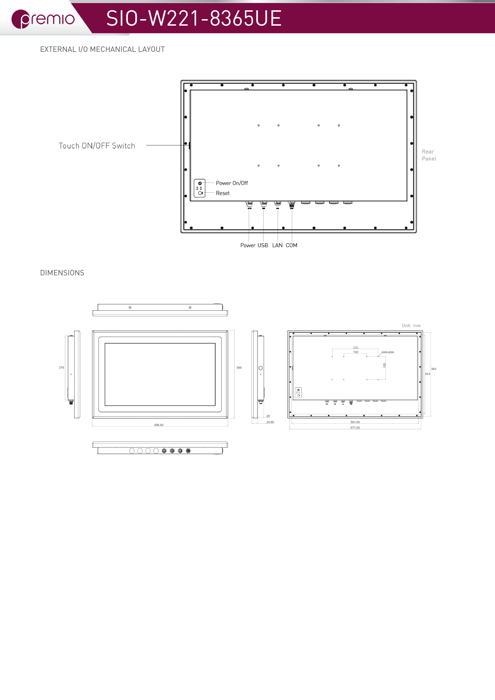premio

## SIO-W221-8365UE

EXTERNAL I/O MECHANICAL LAYOUT



**DIMENSIONS**